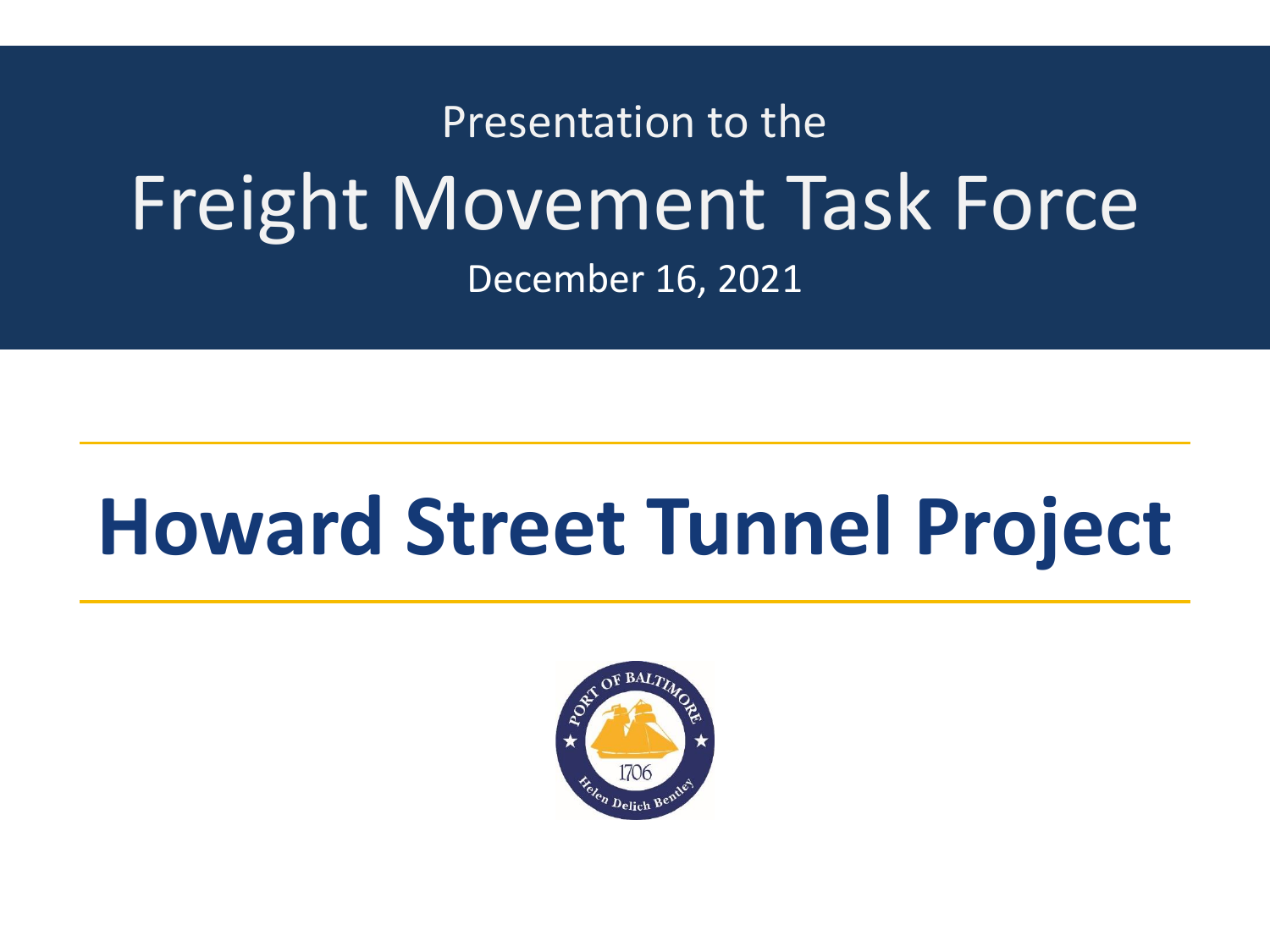# Presentation to the Freight Movement Task Force December 16, 2021

# **Howard Street Tunnel Project**

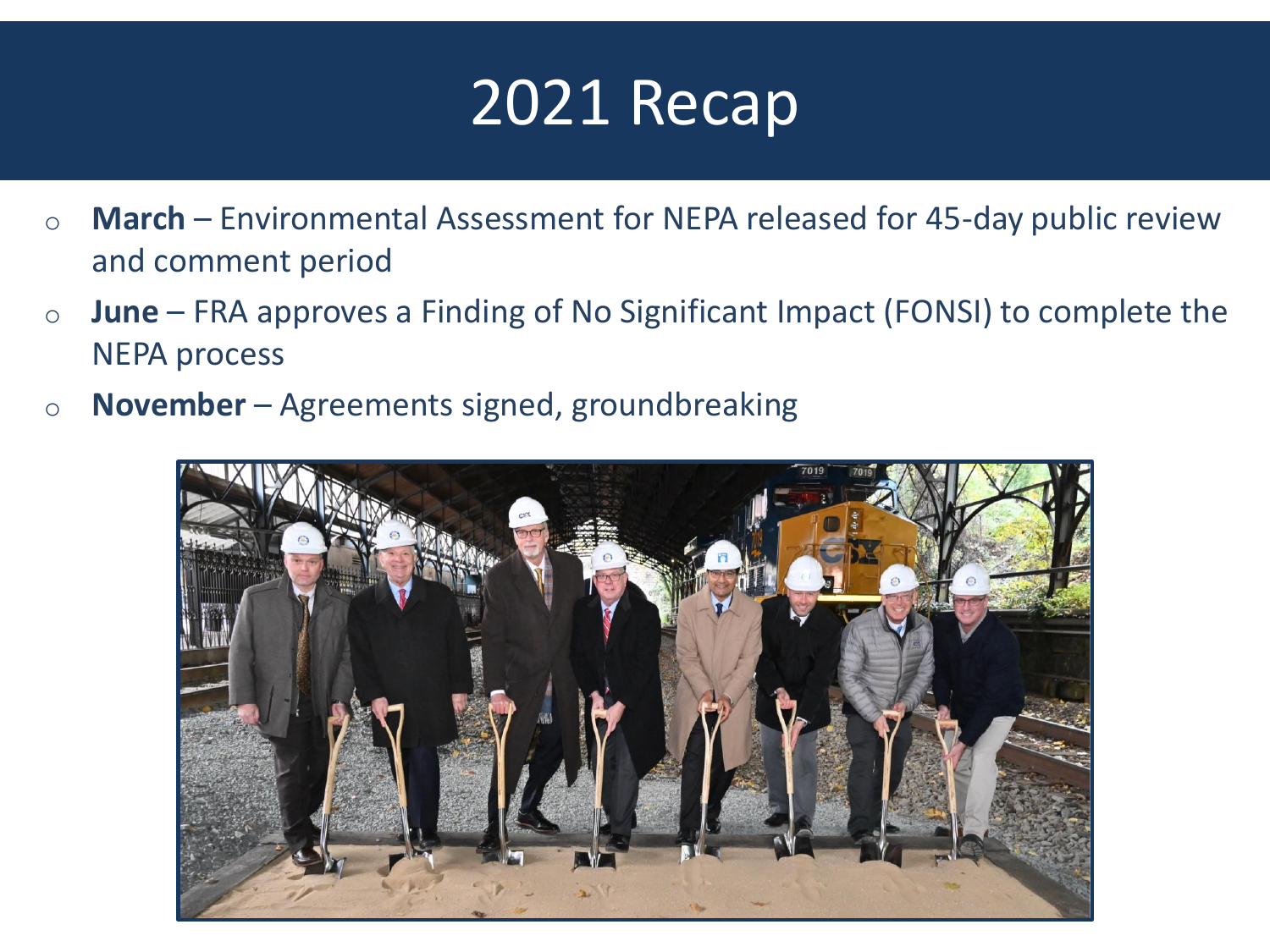

- o **March** Environmental Assessment for NEPA released for 45-day public review and comment period
- o **June** FRA approves a Finding of No Significant Impact (FONSI) to complete the NEPA process
- o **November** Agreements signed, groundbreaking

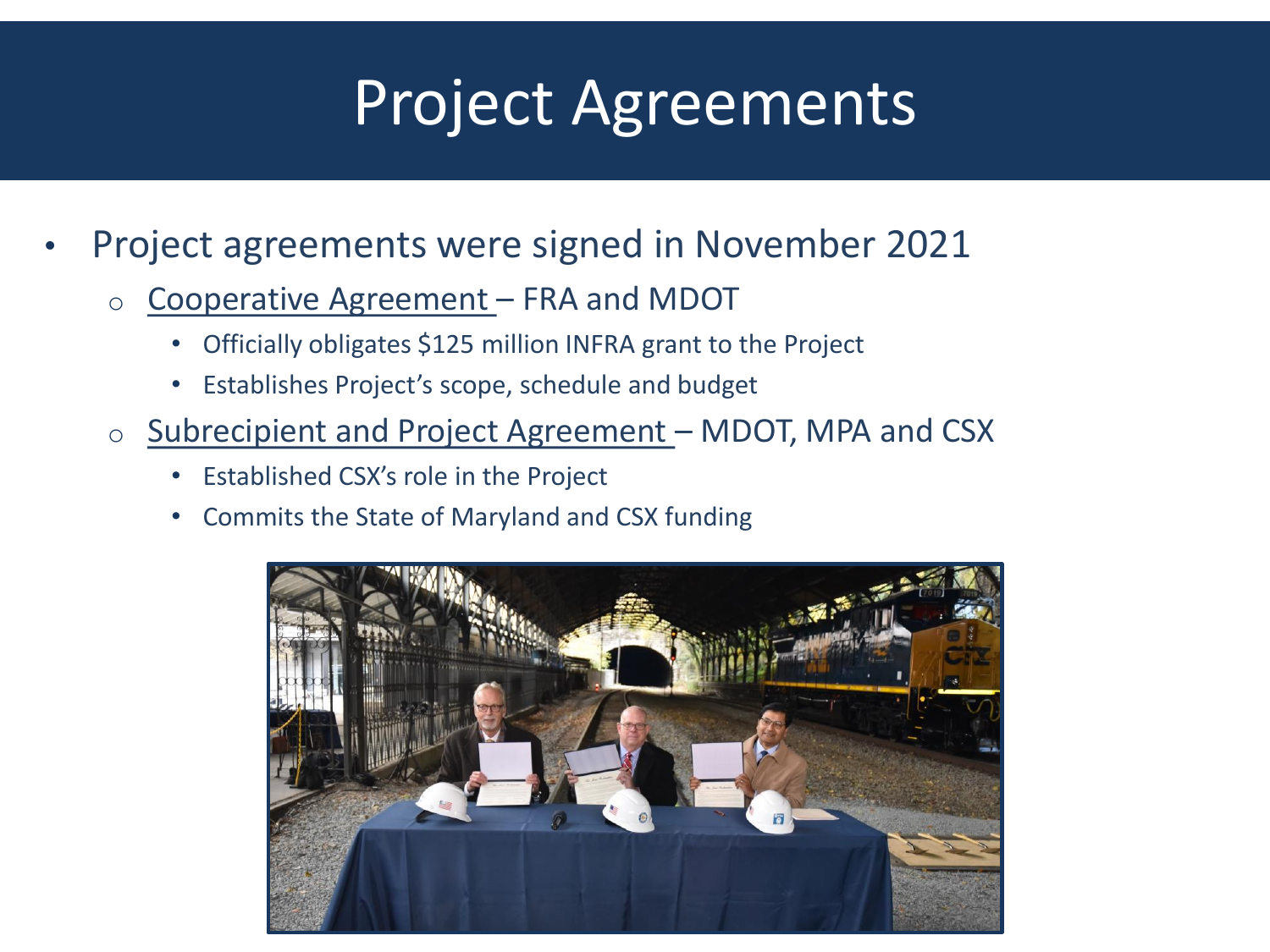# Project Agreements

- Project agreements were signed in November 2021
	- o Cooperative Agreement FRA and MDOT
		- Officially obligates \$125 million INFRA grant to the Project
		- Establishes Project's scope, schedule and budget
	- o Subrecipient and Project Agreement MDOT, MPA and CSX
		- Established CSX's role in the Project
		- Commits the State of Maryland and CSX funding

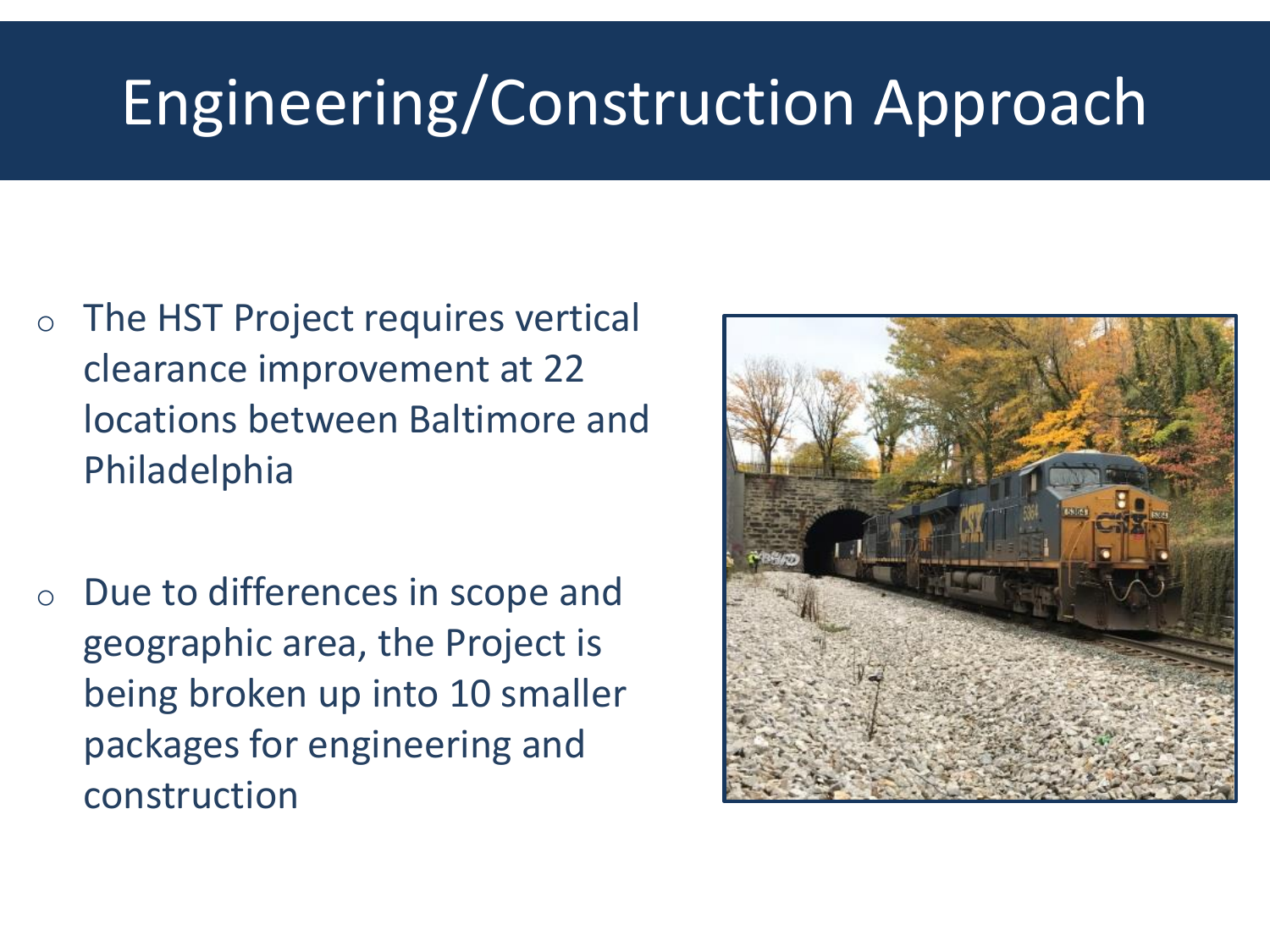# Engineering/Construction Approach

- o The HST Project requires vertical clearance improvement at 22 locations between Baltimore and Philadelphia
- o Due to differences in scope and geographic area, the Project is being broken up into 10 smaller packages for engineering and construction

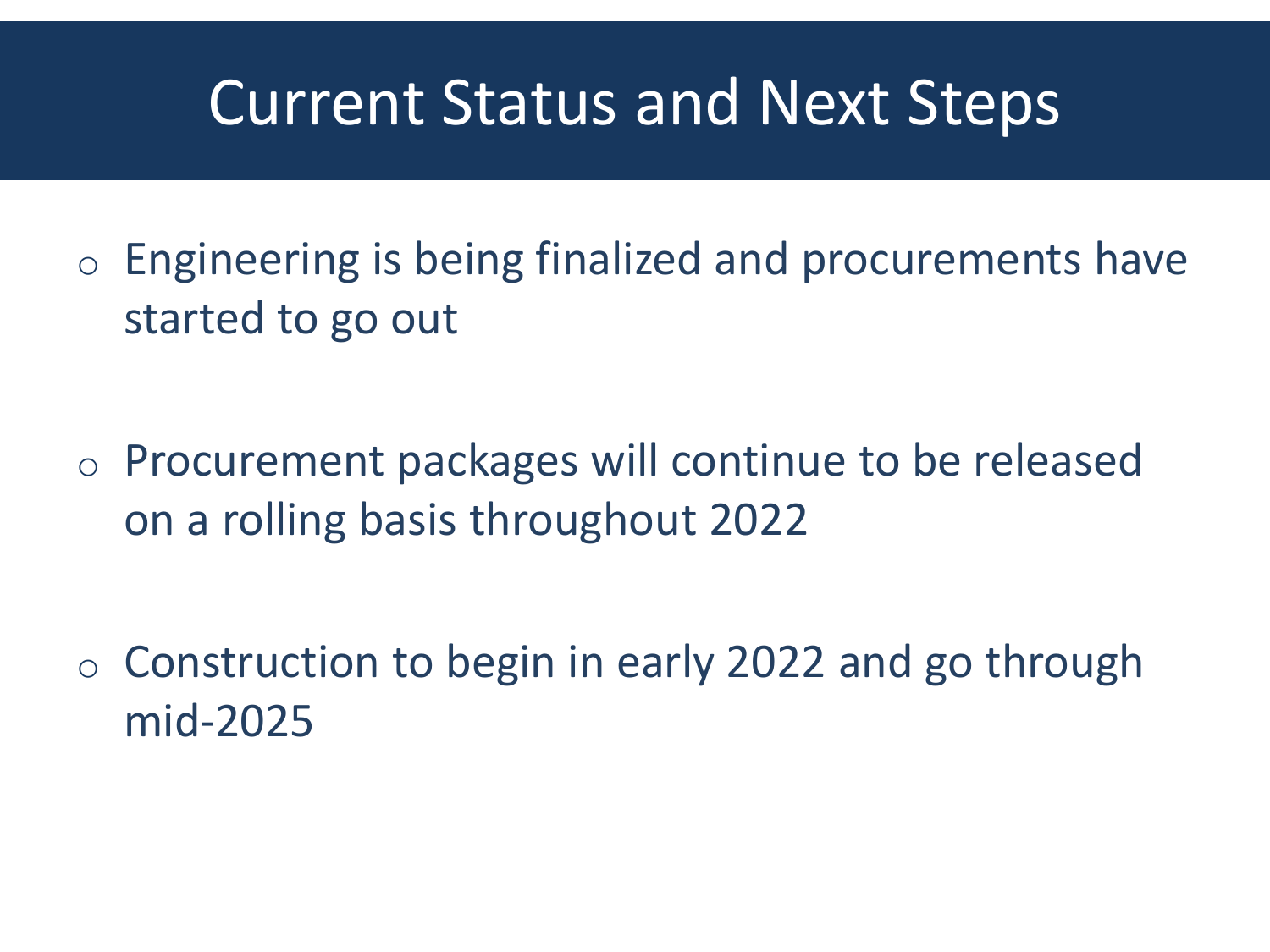#### Current Status and Next Steps

- o Engineering is being finalized and procurements have started to go out
- o Procurement packages will continue to be released on a rolling basis throughout 2022
- o Construction to begin in early 2022 and go through mid-2025